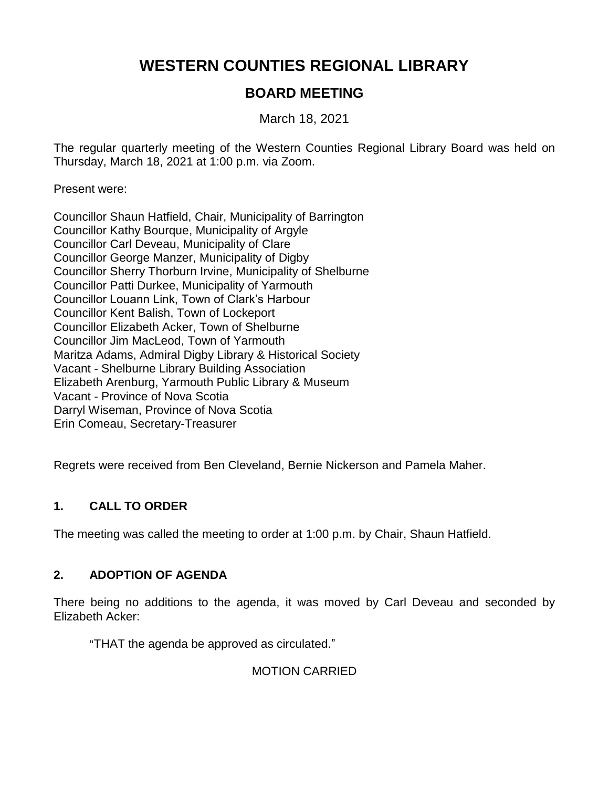# **WESTERN COUNTIES REGIONAL LIBRARY**

# **BOARD MEETING**

March 18, 2021

The regular quarterly meeting of the Western Counties Regional Library Board was held on Thursday, March 18, 2021 at 1:00 p.m. via Zoom.

Present were:

Councillor Shaun Hatfield, Chair, Municipality of Barrington Councillor Kathy Bourque, Municipality of Argyle Councillor Carl Deveau, Municipality of Clare Councillor George Manzer, Municipality of Digby Councillor Sherry Thorburn Irvine, Municipality of Shelburne Councillor Patti Durkee, Municipality of Yarmouth Councillor Louann Link, Town of Clark's Harbour Councillor Kent Balish, Town of Lockeport Councillor Elizabeth Acker, Town of Shelburne Councillor Jim MacLeod, Town of Yarmouth Maritza Adams, Admiral Digby Library & Historical Society Vacant - Shelburne Library Building Association Elizabeth Arenburg, Yarmouth Public Library & Museum Vacant - Province of Nova Scotia Darryl Wiseman, Province of Nova Scotia Erin Comeau, Secretary-Treasurer

Regrets were received from Ben Cleveland, Bernie Nickerson and Pamela Maher.

## **1. CALL TO ORDER**

The meeting was called the meeting to order at 1:00 p.m. by Chair, Shaun Hatfield.

## **2. ADOPTION OF AGENDA**

There being no additions to the agenda, it was moved by Carl Deveau and seconded by Elizabeth Acker:

"THAT the agenda be approved as circulated."

MOTION CARRIED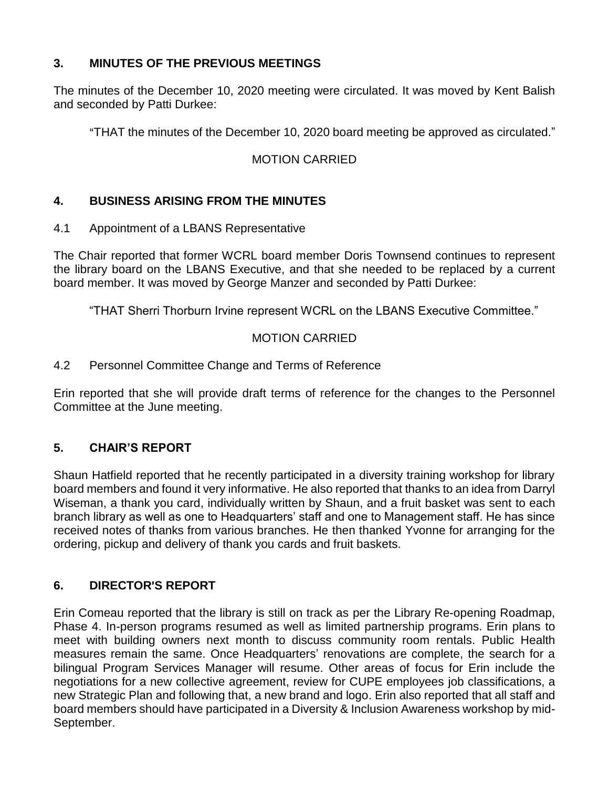## **3. MINUTES OF THE PREVIOUS MEETINGS**

The minutes of the December 10, 2020 meeting were circulated. It was moved by Kent Balish and seconded by Patti Durkee:

"THAT the minutes of the December 10, 2020 board meeting be approved as circulated."

## MOTION CARRIED

## **4. BUSINESS ARISING FROM THE MINUTES**

4.1 Appointment of a LBANS Representative

The Chair reported that former WCRL board member Doris Townsend continues to represent the library board on the LBANS Executive, and that she needed to be replaced by a current board member. It was moved by George Manzer and seconded by Patti Durkee:

"THAT Sherri Thorburn Irvine represent WCRL on the LBANS Executive Committee."

## MOTION CARRIED

#### 4.2 Personnel Committee Change and Terms of Reference

Erin reported that she will provide draft terms of reference for the changes to the Personnel Committee at the June meeting.

#### **5. CHAIR'S REPORT**

Shaun Hatfield reported that he recently participated in a diversity training workshop for library board members and found it very informative. He also reported that thanks to an idea from Darryl Wiseman, a thank you card, individually written by Shaun, and a fruit basket was sent to each branch library as well as one to Headquarters' staff and one to Management staff. He has since received notes of thanks from various branches. He then thanked Yvonne for arranging for the ordering, pickup and delivery of thank you cards and fruit baskets.

## **6. DIRECTOR**=**S REPORT**

Erin Comeau reported that the library is still on track as per the Library Re-opening Roadmap, Phase 4. In-person programs resumed as well as limited partnership programs. Erin plans to meet with building owners next month to discuss community room rentals. Public Health measures remain the same. Once Headquarters' renovations are complete, the search for a bilingual Program Services Manager will resume. Other areas of focus for Erin include the negotiations for a new collective agreement, review for CUPE employees job classifications, a new Strategic Plan and following that, a new brand and logo. Erin also reported that all staff and board members should have participated in a Diversity & Inclusion Awareness workshop by mid-September.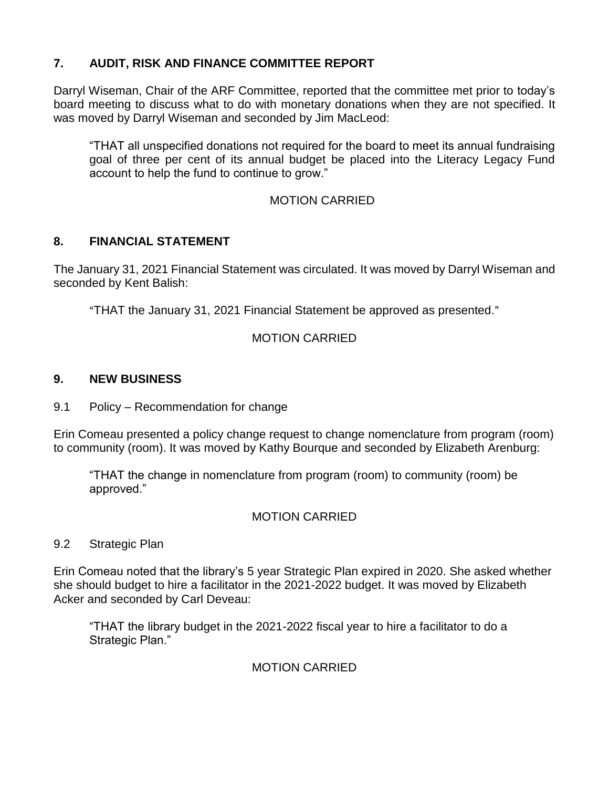## **7. AUDIT, RISK AND FINANCE COMMITTEE REPORT**

Darryl Wiseman, Chair of the ARF Committee, reported that the committee met prior to today's board meeting to discuss what to do with monetary donations when they are not specified. It was moved by Darryl Wiseman and seconded by Jim MacLeod:

"THAT all unspecified donations not required for the board to meet its annual fundraising goal of three per cent of its annual budget be placed into the Literacy Legacy Fund account to help the fund to continue to grow."

## MOTION CARRIED

## **8. FINANCIAL STATEMENT**

The January 31, 2021 Financial Statement was circulated. It was moved by Darryl Wiseman and seconded by Kent Balish:

"THAT the January 31, 2021 Financial Statement be approved as presented."

## MOTION CARRIED

#### **9. NEW BUSINESS**

9.1 Policy – Recommendation for change

Erin Comeau presented a policy change request to change nomenclature from program (room) to community (room). It was moved by Kathy Bourque and seconded by Elizabeth Arenburg:

"THAT the change in nomenclature from program (room) to community (room) be approved."

## MOTION CARRIED

#### 9.2 Strategic Plan

Erin Comeau noted that the library's 5 year Strategic Plan expired in 2020. She asked whether she should budget to hire a facilitator in the 2021-2022 budget. It was moved by Elizabeth Acker and seconded by Carl Deveau:

"THAT the library budget in the 2021-2022 fiscal year to hire a facilitator to do a Strategic Plan."

## MOTION CARRIED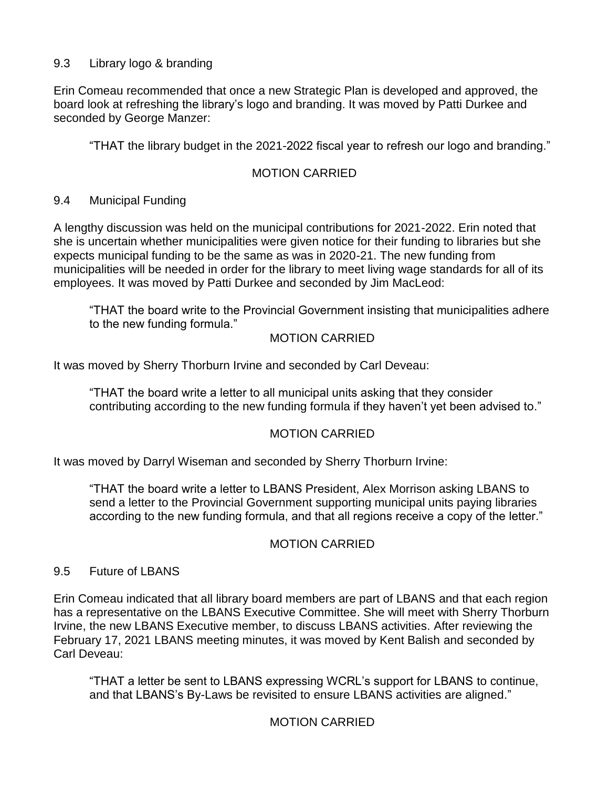## 9.3 Library logo & branding

Erin Comeau recommended that once a new Strategic Plan is developed and approved, the board look at refreshing the library's logo and branding. It was moved by Patti Durkee and seconded by George Manzer:

"THAT the library budget in the 2021-2022 fiscal year to refresh our logo and branding."

## MOTION CARRIED

#### 9.4 Municipal Funding

A lengthy discussion was held on the municipal contributions for 2021-2022. Erin noted that she is uncertain whether municipalities were given notice for their funding to libraries but she expects municipal funding to be the same as was in 2020-21. The new funding from municipalities will be needed in order for the library to meet living wage standards for all of its employees. It was moved by Patti Durkee and seconded by Jim MacLeod:

"THAT the board write to the Provincial Government insisting that municipalities adhere to the new funding formula."

#### MOTION CARRIED

It was moved by Sherry Thorburn Irvine and seconded by Carl Deveau:

"THAT the board write a letter to all municipal units asking that they consider contributing according to the new funding formula if they haven't yet been advised to."

## MOTION CARRIED

It was moved by Darryl Wiseman and seconded by Sherry Thorburn Irvine:

"THAT the board write a letter to LBANS President, Alex Morrison asking LBANS to send a letter to the Provincial Government supporting municipal units paying libraries according to the new funding formula, and that all regions receive a copy of the letter."

#### MOTION CARRIED

#### 9.5 Future of LBANS

Erin Comeau indicated that all library board members are part of LBANS and that each region has a representative on the LBANS Executive Committee. She will meet with Sherry Thorburn Irvine, the new LBANS Executive member, to discuss LBANS activities. After reviewing the February 17, 2021 LBANS meeting minutes, it was moved by Kent Balish and seconded by Carl Deveau:

"THAT a letter be sent to LBANS expressing WCRL's support for LBANS to continue, and that LBANS's By-Laws be revisited to ensure LBANS activities are aligned."

## MOTION CARRIED